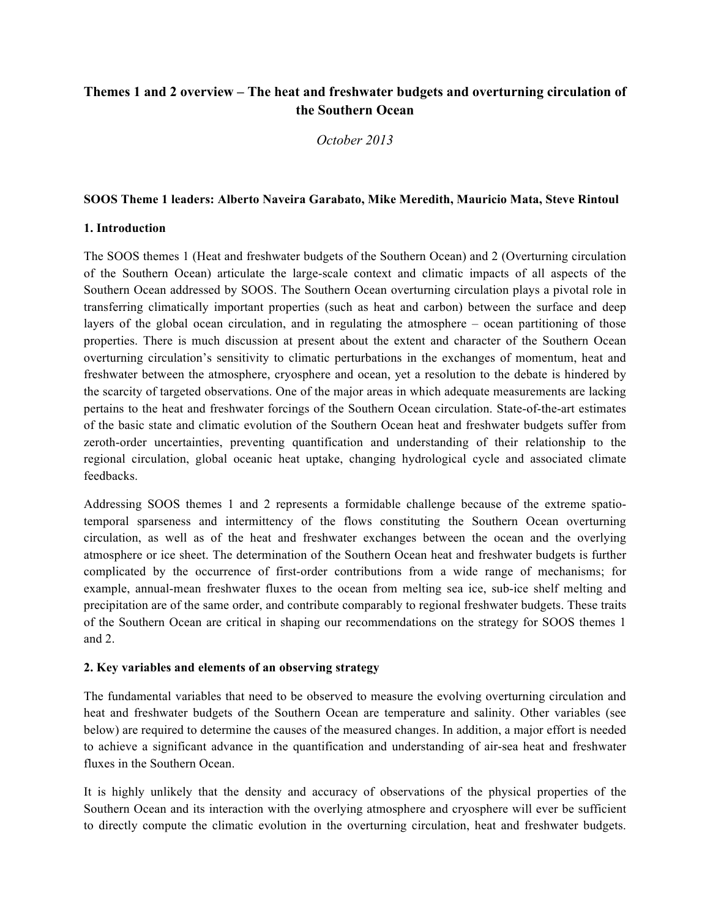## **Themes 1 and 2 overview – The heat and freshwater budgets and overturning circulation of the Southern Ocean**

*October 2013*

## **SOOS Theme 1 leaders: Alberto Naveira Garabato, Mike Meredith, Mauricio Mata, Steve Rintoul**

## **1. Introduction**

The SOOS themes 1 (Heat and freshwater budgets of the Southern Ocean) and 2 (Overturning circulation of the Southern Ocean) articulate the large-scale context and climatic impacts of all aspects of the Southern Ocean addressed by SOOS. The Southern Ocean overturning circulation plays a pivotal role in transferring climatically important properties (such as heat and carbon) between the surface and deep layers of the global ocean circulation, and in regulating the atmosphere – ocean partitioning of those properties. There is much discussion at present about the extent and character of the Southern Ocean overturning circulation's sensitivity to climatic perturbations in the exchanges of momentum, heat and freshwater between the atmosphere, cryosphere and ocean, yet a resolution to the debate is hindered by the scarcity of targeted observations. One of the major areas in which adequate measurements are lacking pertains to the heat and freshwater forcings of the Southern Ocean circulation. State-of-the-art estimates of the basic state and climatic evolution of the Southern Ocean heat and freshwater budgets suffer from zeroth-order uncertainties, preventing quantification and understanding of their relationship to the regional circulation, global oceanic heat uptake, changing hydrological cycle and associated climate feedbacks.

Addressing SOOS themes 1 and 2 represents a formidable challenge because of the extreme spatiotemporal sparseness and intermittency of the flows constituting the Southern Ocean overturning circulation, as well as of the heat and freshwater exchanges between the ocean and the overlying atmosphere or ice sheet. The determination of the Southern Ocean heat and freshwater budgets is further complicated by the occurrence of first-order contributions from a wide range of mechanisms; for example, annual-mean freshwater fluxes to the ocean from melting sea ice, sub-ice shelf melting and precipitation are of the same order, and contribute comparably to regional freshwater budgets. These traits of the Southern Ocean are critical in shaping our recommendations on the strategy for SOOS themes 1 and 2.

## **2. Key variables and elements of an observing strategy**

The fundamental variables that need to be observed to measure the evolving overturning circulation and heat and freshwater budgets of the Southern Ocean are temperature and salinity. Other variables (see below) are required to determine the causes of the measured changes. In addition, a major effort is needed to achieve a significant advance in the quantification and understanding of air-sea heat and freshwater fluxes in the Southern Ocean.

It is highly unlikely that the density and accuracy of observations of the physical properties of the Southern Ocean and its interaction with the overlying atmosphere and cryosphere will ever be sufficient to directly compute the climatic evolution in the overturning circulation, heat and freshwater budgets.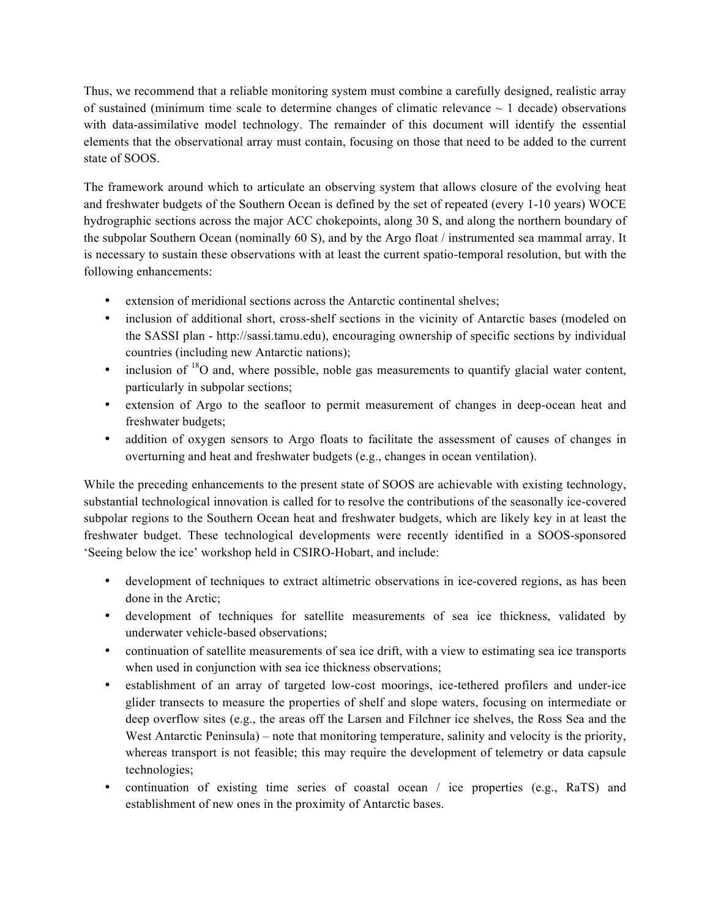Thus, we recommend that a reliable monitoring system must combine a carefully designed, realistic array of sustained (minimum time scale to determine changes of climatic relevance  $\sim 1$  decade) observations with data-assimilative model technology. The remainder of this document will identify the essential elements that the observational array must contain, focusing on those that need to be added to the current state of SOOS.

The framework around which to articulate an observing system that allows closure of the evolving heat and freshwater budgets of the Southern Ocean is defined by the set of repeated (every 1-10 years) WOCE hydrographic sections across the major ACC chokepoints, along 30 S, and along the northern boundary of the subpolar Southern Ocean (nominally 60 S), and by the Argo float / instrumented sea mammal array. It is necessary to sustain these observations with at least the current spatio-temporal resolution, but with the following enhancements:

- extension of meridional sections across the Antarctic continental shelves;
- inclusion of additional short, cross-shelf sections in the vicinity of Antarctic bases (modeled on the SASSI plan - http://sassi.tamu.edu), encouraging ownership of specific sections by individual countries (including new Antarctic nations);
- inclusion of  $^{18}$ O and, where possible, noble gas measurements to quantify glacial water content, particularly in subpolar sections;
- extension of Argo to the seafloor to permit measurement of changes in deep-ocean heat and freshwater budgets;
- addition of oxygen sensors to Argo floats to facilitate the assessment of causes of changes in overturning and heat and freshwater budgets (e.g., changes in ocean ventilation).

While the preceding enhancements to the present state of SOOS are achievable with existing technology, substantial technological innovation is called for to resolve the contributions of the seasonally ice-covered subpolar regions to the Southern Ocean heat and freshwater budgets, which are likely key in at least the freshwater budget. These technological developments were recently identified in a SOOS-sponsored 'Seeing below the ice' workshop held in CSIRO-Hobart, and include:

- development of techniques to extract altimetric observations in ice-covered regions, as has been done in the Arctic;
- development of techniques for satellite measurements of sea ice thickness, validated by underwater vehicle-based observations;
- continuation of satellite measurements of sea ice drift, with a view to estimating sea ice transports when used in conjunction with sea ice thickness observations;
- establishment of an array of targeted low-cost moorings, ice-tethered profilers and under-ice glider transects to measure the properties of shelf and slope waters, focusing on intermediate or deep overflow sites (e.g., the areas off the Larsen and Filchner ice shelves, the Ross Sea and the West Antarctic Peninsula) – note that monitoring temperature, salinity and velocity is the priority, whereas transport is not feasible; this may require the development of telemetry or data capsule technologies;
- continuation of existing time series of coastal ocean / ice properties (e.g., RaTS) and establishment of new ones in the proximity of Antarctic bases.